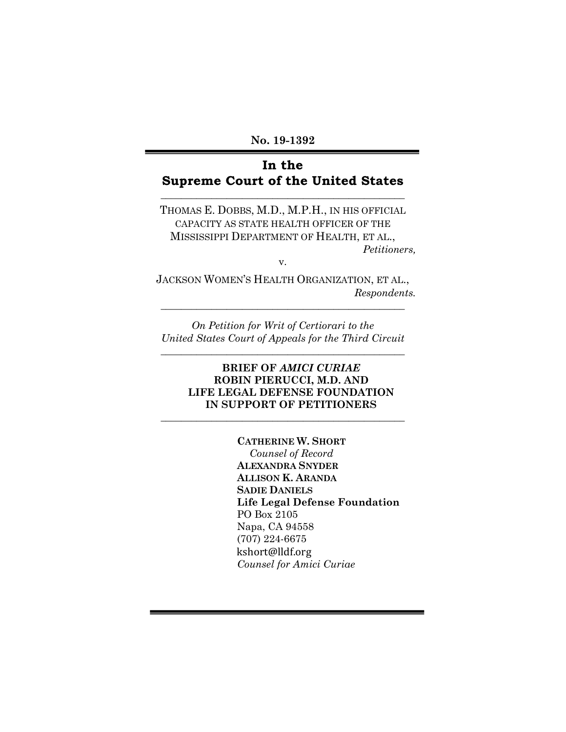**No. 19-1392**

# **In the Supreme Court of the United States**

**\_\_\_\_\_\_\_\_\_\_\_\_\_\_\_\_\_\_\_\_\_\_\_\_\_\_\_\_\_\_\_\_\_\_\_\_\_\_\_\_\_\_\_\_\_\_\_\_**

THOMAS E. DOBBS, M.D., M.P.H., IN HIS OFFICIAL CAPACITY AS STATE HEALTH OFFICER OF THE MISSISSIPPI DEPARTMENT OF HEALTH, ET AL., *Petitioners,*

v.

JACKSON WOMEN'S HEALTH ORGANIZATION, ET AL., *Respondents.*

**\_\_\_\_\_\_\_\_\_\_\_\_\_\_\_\_\_\_\_\_\_\_\_\_\_\_\_\_\_\_\_\_\_\_\_\_\_\_\_\_\_\_\_\_\_\_\_\_**

*On Petition for Writ of Certiorari to the United States Court of Appeals for the Third Circuit* **\_\_\_\_\_\_\_\_\_\_\_\_\_\_\_\_\_\_\_\_\_\_\_\_\_\_\_\_\_\_\_\_\_\_\_\_\_\_\_\_\_\_\_\_\_\_\_\_**

### **BRIEF OF** *AMICI CURIAE* **ROBIN PIERUCCI, M.D. AND LIFE LEGAL DEFENSE FOUNDATION IN SUPPORT OF PETITIONERS**

\_\_\_\_\_\_\_\_\_\_\_\_\_\_\_\_\_\_\_\_\_\_\_\_\_\_\_\_\_\_\_\_\_\_\_\_\_\_\_\_\_\_\_\_\_\_\_\_

**CATHERINE W. SHORT** *Counsel of Record* **ALEXANDRA SNYDER ALLISON K. ARANDA SADIE DANIELS Life Legal Defense Foundation** PO Box 2105 Napa, CA 94558 (707) 224-6675 kshort@lldf.org *Counsel for Amici Curiae*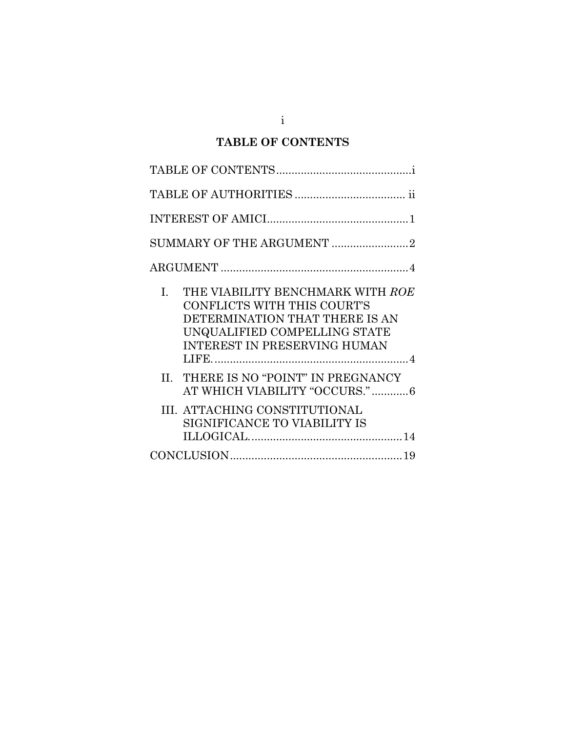# **TABLE OF CONTENTS**

| $\label{thm:im} \mbox{INTEREST OF AMICI} \label{thm:im}$                                                                                                                       |
|--------------------------------------------------------------------------------------------------------------------------------------------------------------------------------|
| SUMMARY OF THE ARGUMENT 2                                                                                                                                                      |
|                                                                                                                                                                                |
| THE VIABILITY BENCHMARK WITH ROE<br>L.<br>CONFLICTS WITH THIS COURT'S<br>DETERMINATION THAT THERE IS AN<br>UNQUALIFIED COMPELLING STATE<br><b>INTEREST IN PRESERVING HUMAN</b> |
| II. THERE IS NO "POINT" IN PREGNANCY<br>AT WHICH VIABILITY "OCCURS."6                                                                                                          |
| III. ATTACHING CONSTITUTIONAL<br>SIGNIFICANCE TO VIABILITY IS                                                                                                                  |
|                                                                                                                                                                                |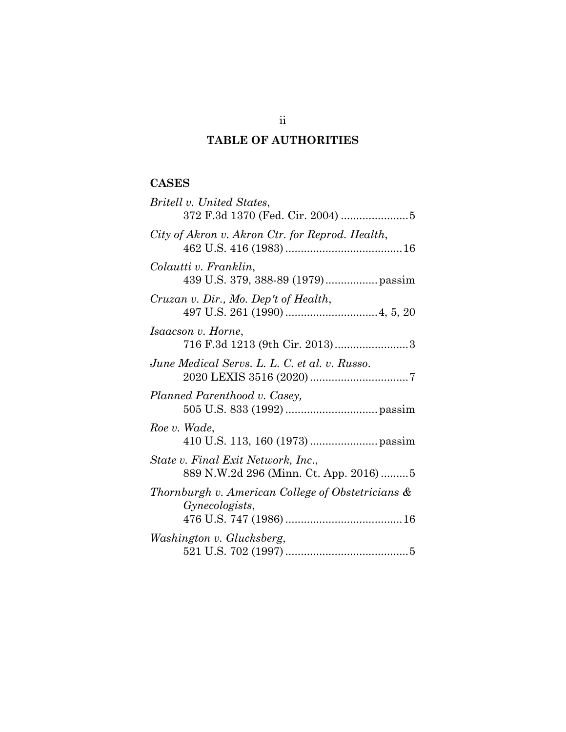# **TABLE OF AUTHORITIES**

## **CASES**

| Britell v. United States,                                                   |
|-----------------------------------------------------------------------------|
| City of Akron v. Akron Ctr. for Reprod. Health,                             |
| Colautti v. Franklin,<br>439 U.S. 379, 388-89 (1979) passim                 |
| Cruzan v. Dir., Mo. Dep't of Health,                                        |
| <i>Isaacson v. Horne,</i>                                                   |
| June Medical Servs. L. L. C. et al. v. Russo.                               |
| Planned Parenthood v. Casey,                                                |
| Roe v. Wade,                                                                |
| State v. Final Exit Network, Inc.,<br>889 N.W.2d 296 (Minn. Ct. App. 2016)5 |
| Thornburgh v. American College of Obstetricians &<br><i>Gynecologists,</i>  |
|                                                                             |
| Washington v. Glucksberg,                                                   |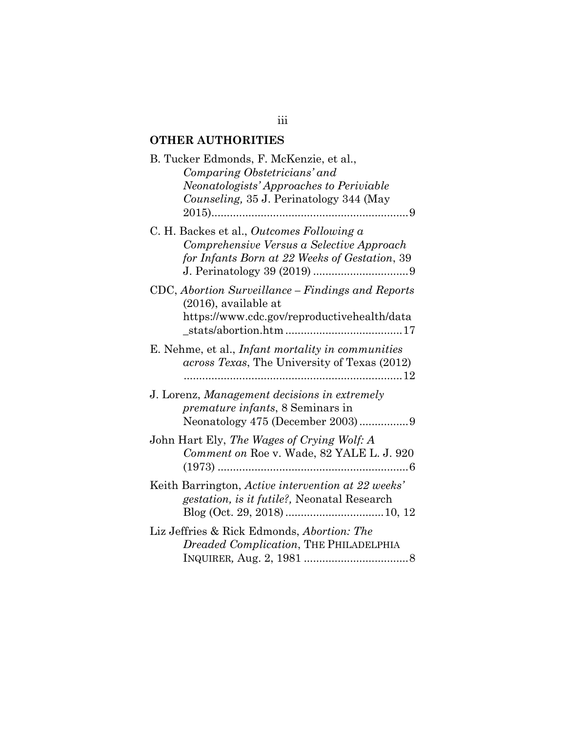## **OTHER AUTHORITIES**

| B. Tucker Edmonds, F. McKenzie, et al.,<br>Comparing Obstetricians' and<br>Neonatologists' Approaches to Periviable<br>Counseling, 35 J. Perinatology 344 (May |
|----------------------------------------------------------------------------------------------------------------------------------------------------------------|
| C. H. Backes et al., Outcomes Following a<br>Comprehensive Versus a Selective Approach<br>for Infants Born at 22 Weeks of Gestation, 39                        |
| CDC, Abortion Surveillance – Findings and Reports<br>$(2016)$ , available at<br>https://www.cdc.gov/reproductivehealth/data                                    |
| E. Nehme, et al., <i>Infant mortality in communities</i><br>across Texas, The University of Texas (2012)                                                       |
| J. Lorenz, Management decisions in extremely<br><i>premature infants</i> , 8 Seminars in<br>Neonatology 475 (December 2003)9                                   |
| John Hart Ely, The Wages of Crying Wolf: A<br>Comment on Roe v. Wade, 82 YALE L. J. 920                                                                        |
| Keith Barrington, Active intervention at 22 weeks'<br>gestation, is it futile?, Neonatal Research                                                              |
| Liz Jeffries & Rick Edmonds, Abortion: The<br>Dreaded Complication, THE PHILADELPHIA                                                                           |

## iii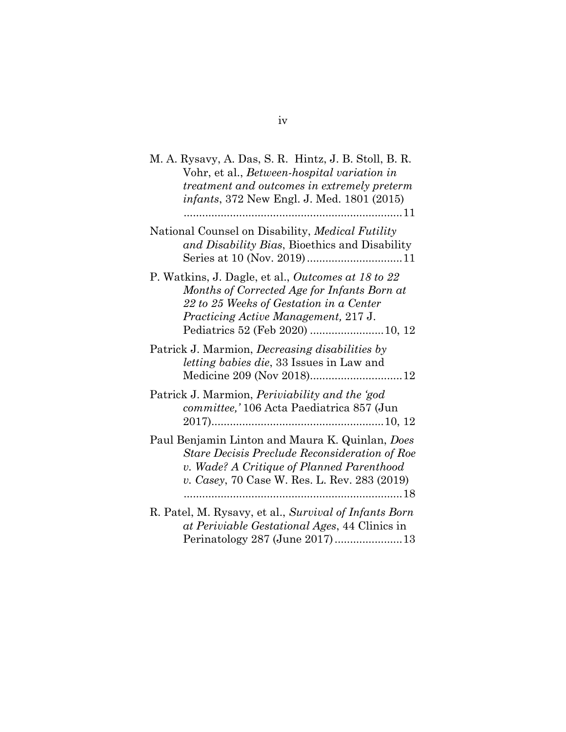| M. A. Rysavy, A. Das, S. R. Hintz, J. B. Stoll, B. R.<br>Vohr, et al., <i>Between-hospital variation in</i><br>treatment and outcomes in extremely preterm<br><i>infants</i> , 372 New Engl. J. Med. 1801 (2015)<br>. 11        |
|---------------------------------------------------------------------------------------------------------------------------------------------------------------------------------------------------------------------------------|
| National Counsel on Disability, Medical Futility<br>and Disability Bias, Bioethics and Disability                                                                                                                               |
| P. Watkins, J. Dagle, et al., Outcomes at 18 to 22<br>Months of Corrected Age for Infants Born at<br>22 to 25 Weeks of Gestation in a Center<br><i>Practicing Active Management, 217 J.</i><br>Pediatrics 52 (Feb 2020)  10, 12 |
| Patrick J. Marmion, <i>Decreasing disabilities by</i><br><i>letting babies die, 33</i> Issues in Law and<br>Medicine 209 (Nov 2018)12                                                                                           |
| Patrick J. Marmion, <i>Periviability and the 'god</i><br>committee,' 106 Acta Paediatrica 857 (Jun                                                                                                                              |
| Paul Benjamin Linton and Maura K. Quinlan, Does<br>Stare Decisis Preclude Reconsideration of Roe<br>v. Wade? A Critique of Planned Parenthood<br>v. Casey, 70 Case W. Res. L. Rev. 283 (2019)                                   |
| R. Patel, M. Rysavy, et al., Survival of Infants Born<br>at Periviable Gestational Ages, 44 Clinics in<br>Perinatology 287 (June 2017)13                                                                                        |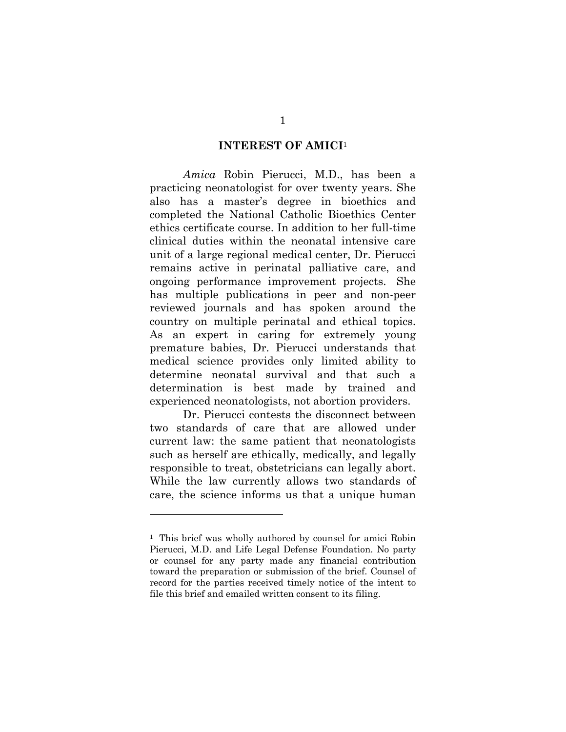#### **INTEREST OF AMICI**<sup>1</sup>

*Amica* Robin Pierucci, M.D., has been a practicing neonatologist for over twenty years. She also has a master's degree in bioethics and completed the National Catholic Bioethics Center ethics certificate course. In addition to her full-time clinical duties within the neonatal intensive care unit of a large regional medical center, Dr. Pierucci remains active in perinatal palliative care, and ongoing performance improvement projects. She has multiple publications in peer and non-peer reviewed journals and has spoken around the country on multiple perinatal and ethical topics. As an expert in caring for extremely young premature babies, Dr. Pierucci understands that medical science provides only limited ability to determine neonatal survival and that such a determination is best made by trained and experienced neonatologists, not abortion providers.

Dr. Pierucci contests the disconnect between two standards of care that are allowed under current law: the same patient that neonatologists such as herself are ethically, medically, and legally responsible to treat, obstetricians can legally abort. While the law currently allows two standards of care, the science informs us that a unique human

<sup>&</sup>lt;sup>1</sup> This brief was wholly authored by counsel for amici Robin Pierucci, M.D. and Life Legal Defense Foundation. No party or counsel for any party made any financial contribution toward the preparation or submission of the brief. Counsel of record for the parties received timely notice of the intent to file this brief and emailed written consent to its filing.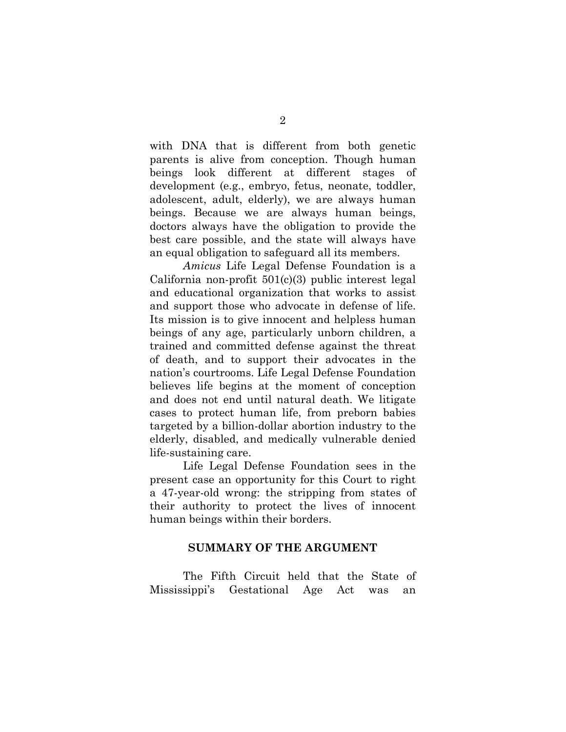with DNA that is different from both genetic parents is alive from conception. Though human beings look different at different stages of development (e.g., embryo, fetus, neonate, toddler, adolescent, adult, elderly), we are always human beings. Because we are always human beings, doctors always have the obligation to provide the best care possible, and the state will always have an equal obligation to safeguard all its members.

*Amicus* Life Legal Defense Foundation is a California non-profit  $501(c)(3)$  public interest legal and educational organization that works to assist and support those who advocate in defense of life. Its mission is to give innocent and helpless human beings of any age, particularly unborn children, a trained and committed defense against the threat of death, and to support their advocates in the nation's courtrooms. Life Legal Defense Foundation believes life begins at the moment of conception and does not end until natural death. We litigate cases to protect human life, from preborn babies targeted by a billion-dollar abortion industry to the elderly, disabled, and medically vulnerable denied life-sustaining care.

Life Legal Defense Foundation sees in the present case an opportunity for this Court to right a 47-year-old wrong: the stripping from states of their authority to protect the lives of innocent human beings within their borders.

#### **SUMMARY OF THE ARGUMENT**

The Fifth Circuit held that the State of Mississippi's Gestational Age Act was an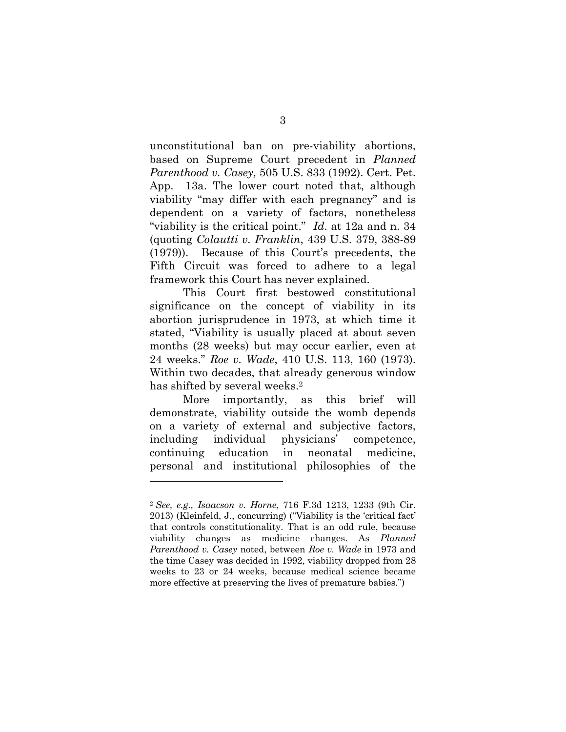unconstitutional ban on pre-viability abortions, based on Supreme Court precedent in *Planned Parenthood v. Casey,* 505 U.S. 833 (1992). Cert. Pet. App. 13a. The lower court noted that, although viability "may differ with each pregnancy" and is dependent on a variety of factors, nonetheless "viability is the critical point." *Id*. at 12a and n. 34 (quoting *Colautti v. Franklin*, 439 U.S. 379, 388-89 (1979)). Because of this Court's precedents, the Fifth Circuit was forced to adhere to a legal framework this Court has never explained.

This Court first bestowed constitutional significance on the concept of viability in its abortion jurisprudence in 1973, at which time it stated, "Viability is usually placed at about seven months (28 weeks) but may occur earlier, even at 24 weeks." *Roe v. Wade*, 410 U.S. 113, 160 (1973). Within two decades, that already generous window has shifted by several weeks.<sup>2</sup>

More importantly, as this brief will demonstrate, viability outside the womb depends on a variety of external and subjective factors, including individual physicians' competence, continuing education in neonatal medicine, personal and institutional philosophies of the

<sup>2</sup> *See, e.g., Isaacson v. Horne*, 716 F.3d 1213, 1233 (9th Cir. 2013) (Kleinfeld, J., concurring) ("Viability is the 'critical fact' that controls constitutionality. That is an odd rule, because viability changes as medicine changes. As *Planned Parenthood v. Casey* noted, between *Roe v. Wade* in 1973 and the time Casey was decided in 1992, viability dropped from 28 weeks to 23 or 24 weeks, because medical science became more effective at preserving the lives of premature babies.")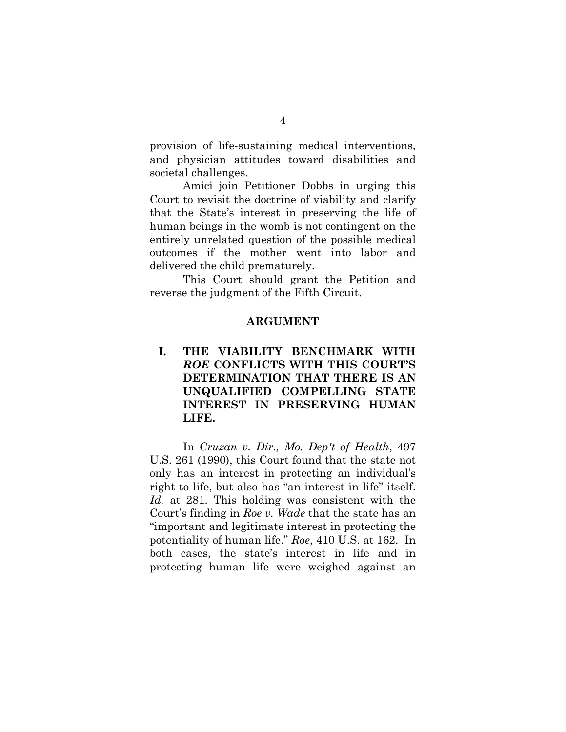provision of life-sustaining medical interventions, and physician attitudes toward disabilities and societal challenges.

Amici join Petitioner Dobbs in urging this Court to revisit the doctrine of viability and clarify that the State's interest in preserving the life of human beings in the womb is not contingent on the entirely unrelated question of the possible medical outcomes if the mother went into labor and delivered the child prematurely.

This Court should grant the Petition and reverse the judgment of the Fifth Circuit.

#### **ARGUMENT**

## **I. THE VIABILITY BENCHMARK WITH**  *ROE* **CONFLICTS WITH THIS COURT'S DETERMINATION THAT THERE IS AN UNQUALIFIED COMPELLING STATE INTEREST IN PRESERVING HUMAN LIFE.**

In *Cruzan v. Dir., Mo. Dep't of Health*, 497 U.S. 261 (1990), this Court found that the state not only has an interest in protecting an individual's right to life, but also has "an interest in life" itself. *Id.* at 281. This holding was consistent with the Court's finding in *Roe v. Wade* that the state has an "important and legitimate interest in protecting the potentiality of human life." *Roe*, 410 U.S. at 162. In both cases, the state's interest in life and in protecting human life were weighed against an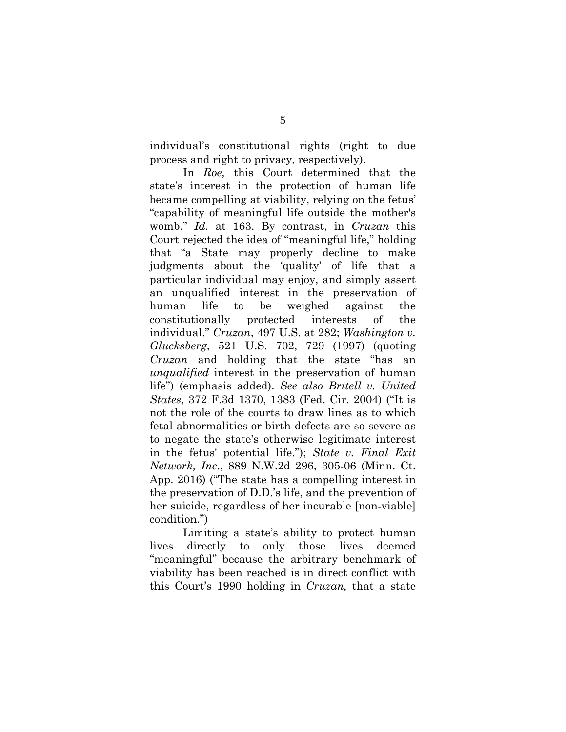individual's constitutional rights (right to due process and right to privacy, respectively).

In *Roe,* this Court determined that the state's interest in the protection of human life became compelling at viability, relying on the fetus' "capability of meaningful life outside the mother's womb." *Id.* at 163. By contrast, in *Cruzan* this Court rejected the idea of "meaningful life," holding that "a State may properly decline to make judgments about the 'quality' of life that a particular individual may enjoy, and simply assert an unqualified interest in the preservation of human life to be weighed against the constitutionally protected interests of the individual." *Cruzan*, 497 U.S. at 282; *Washington v. Glucksberg*, 521 U.S. 702, 729 (1997) (quoting *Cruzan* and holding that the state "has an *unqualified* interest in the preservation of human life") (emphasis added). *See also Britell v. United States*, 372 F.3d 1370, 1383 (Fed. Cir. 2004) ("It is not the role of the courts to draw lines as to which fetal abnormalities or birth defects are so severe as to negate the state's otherwise legitimate interest in the fetus' potential life."); *State v. Final Exit Network, Inc*., 889 N.W.2d 296, 305-06 (Minn. Ct. App. 2016) ("The state has a compelling interest in the preservation of D.D.'s life, and the prevention of her suicide, regardless of her incurable [non-viable] condition.")

Limiting a state's ability to protect human lives directly to only those lives deemed "meaningful" because the arbitrary benchmark of viability has been reached is in direct conflict with this Court's 1990 holding in *Cruzan,* that a state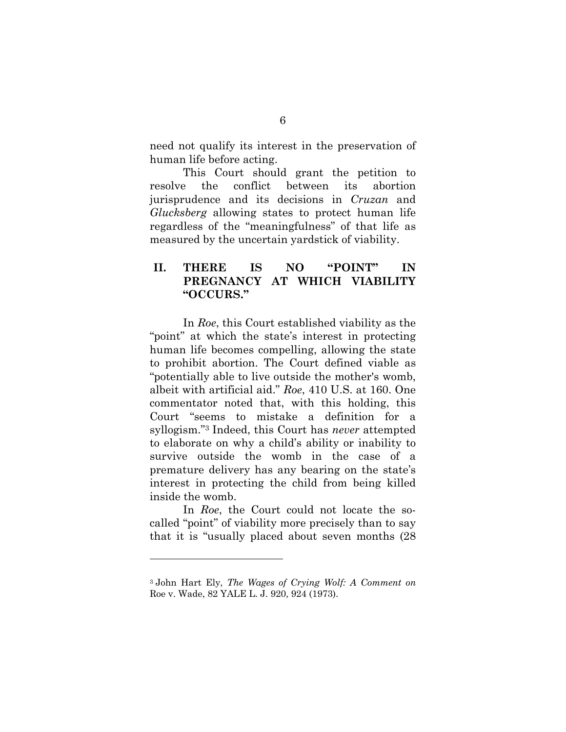need not qualify its interest in the preservation of human life before acting.

This Court should grant the petition to resolve the conflict between its abortion jurisprudence and its decisions in *Cruzan* and *Glucksberg* allowing states to protect human life regardless of the "meaningfulness" of that life as measured by the uncertain yardstick of viability.

## **II. THERE IS NO "POINT" IN PREGNANCY AT WHICH VIABILITY "OCCURS."**

In *Roe*, this Court established viability as the "point" at which the state's interest in protecting human life becomes compelling, allowing the state to prohibit abortion. The Court defined viable as "potentially able to live outside the mother's womb, albeit with artificial aid." *Roe*, 410 U.S. at 160. One commentator noted that, with this holding, this Court "seems to mistake a definition for a syllogism."3 Indeed, this Court has *never* attempted to elaborate on why a child's ability or inability to survive outside the womb in the case of a premature delivery has any bearing on the state's interest in protecting the child from being killed inside the womb.

In *Roe*, the Court could not locate the socalled "point" of viability more precisely than to say that it is "usually placed about seven months (28

<sup>3</sup> John Hart Ely, *The Wages of Crying Wolf: A Comment on*  Roe v. Wade, 82 YALE L. J. 920, 924 (1973).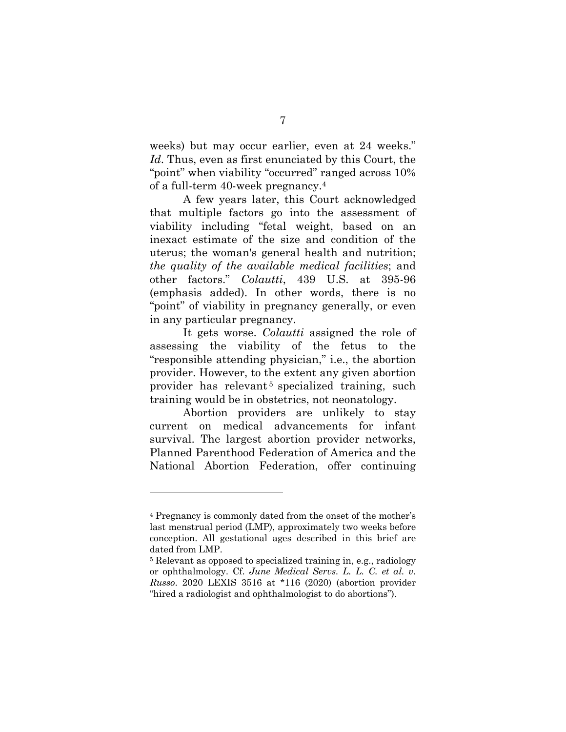weeks) but may occur earlier, even at 24 weeks." *Id*. Thus, even as first enunciated by this Court, the "point" when viability "occurred" ranged across 10% of a full-term 40-week pregnancy.4

A few years later, this Court acknowledged that multiple factors go into the assessment of viability including "fetal weight, based on an inexact estimate of the size and condition of the uterus; the woman's general health and nutrition; *the quality of the available medical facilities*; and other factors." *Colautti*, 439 U.S. at 395-96 (emphasis added). In other words, there is no "point" of viability in pregnancy generally, or even in any particular pregnancy.

It gets worse. *Colautti* assigned the role of assessing the viability of the fetus to the "responsible attending physician," i.e., the abortion provider. However, to the extent any given abortion provider has relevant<sup>5</sup> specialized training, such training would be in obstetrics, not neonatology.

Abortion providers are unlikely to stay current on medical advancements for infant survival. The largest abortion provider networks, Planned Parenthood Federation of America and the National Abortion Federation, offer continuing

<sup>4</sup> Pregnancy is commonly dated from the onset of the mother's last menstrual period (LMP), approximately two weeks before conception. All gestational ages described in this brief are dated from LMP.

<sup>5</sup> Relevant as opposed to specialized training in, e.g., radiology or ophthalmology. Cf. *June Medical Servs. L. L. C. et al. v. Russo*. 2020 LEXIS 3516 at \*116 (2020) (abortion provider "hired a radiologist and ophthalmologist to do abortions").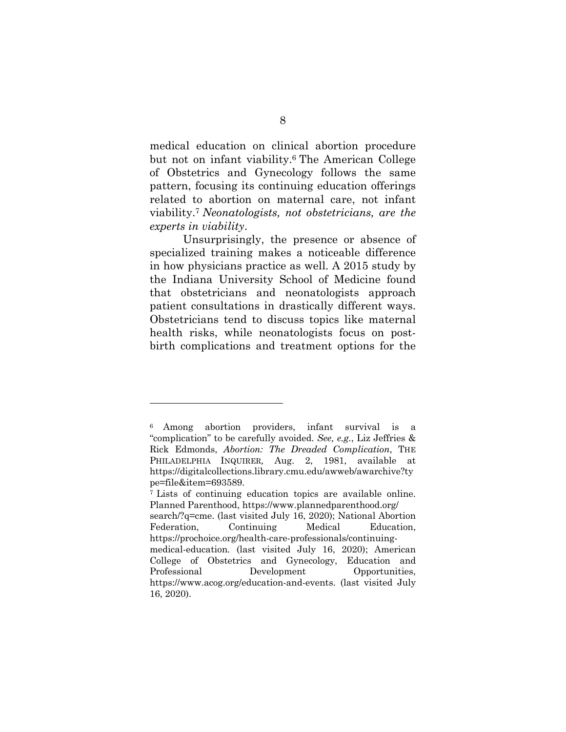medical education on clinical abortion procedure but not on infant viability.6 The American College of Obstetrics and Gynecology follows the same pattern, focusing its continuing education offerings related to abortion on maternal care, not infant viability.7 *Neonatologists, not obstetricians, are the experts in viability*.

Unsurprisingly, the presence or absence of specialized training makes a noticeable difference in how physicians practice as well. A 2015 study by the Indiana University School of Medicine found that obstetricians and neonatologists approach patient consultations in drastically different ways. Obstetricians tend to discuss topics like maternal health risks, while neonatologists focus on postbirth complications and treatment options for the

<sup>6</sup> Among abortion providers, infant survival is a "complication" to be carefully avoided. *See, e.g.*, Liz Jeffries & Rick Edmonds, *Abortion: The Dreaded Complication*, THE PHILADELPHIA INQUIRER*,* Aug. 2, 1981, available at https://digitalcollections.library.cmu.edu/awweb/awarchive?ty

pe=file&item=693589.<br><sup>7</sup> Lists of continuing education topics are available online. Planned Parenthood, https://www.plannedparenthood.org/ search/?q=cme. (last visited July 16, 2020); National Abortion Federation, Continuing Medical Education, https://prochoice.org/health-care-professionals/continuingmedical-education*.* (last visited July 16, 2020); American College of Obstetrics and Gynecology, Education and Professional Development Opportunities, https://www.acog.org/education-and-events. (last visited July 16, 2020).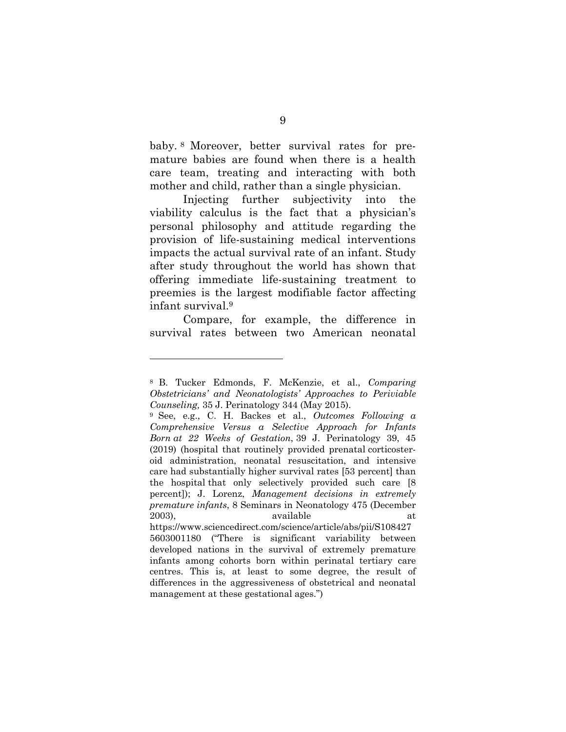baby. <sup>8</sup> Moreover, better survival rates for premature babies are found when there is a health care team, treating and interacting with both mother and child, rather than a single physician.

Injecting further subjectivity into the viability calculus is the fact that a physician's personal philosophy and attitude regarding the provision of life-sustaining medical interventions impacts the actual survival rate of an infant. Study after study throughout the world has shown that offering immediate life-sustaining treatment to preemies is the largest modifiable factor affecting infant survival.9

Compare, for example, the difference in survival rates between two American neonatal

<sup>8</sup> B. Tucker Edmonds, F. McKenzie, et al., *Comparing Obstetricians' and Neonatologists' Approaches to Periviable Counseling,* 35 J. Perinatology 344 (May 2015).

<sup>9</sup> See, e.g., C. H. Backes et al., *Outcomes Following a Comprehensive Versus a Selective Approach for Infants Born at 22 Weeks of Gestation*, 39 J. Perinatology 39, 45 (2019) (hospital that routinely provided prenatal corticosteroid administration, neonatal resuscitation, and intensive care had substantially higher survival rates [53 percent] than the hospital that only selectively provided such care [8 percent]); J. Lorenz, *Management decisions in extremely premature infants*, 8 Seminars in Neonatology 475 (December 2003), available at a state at a state at a state and a state at a state at a state at a state at a state at a state at a state at a state at a state at a state at a state at a state at a state at a state at a state at a s

https://www.sciencedirect.com/science/article/abs/pii/S108427 5603001180 ("There is significant variability between developed nations in the survival of extremely premature infants among cohorts born within perinatal tertiary care centres. This is, at least to some degree, the result of differences in the aggressiveness of obstetrical and neonatal management at these gestational ages.")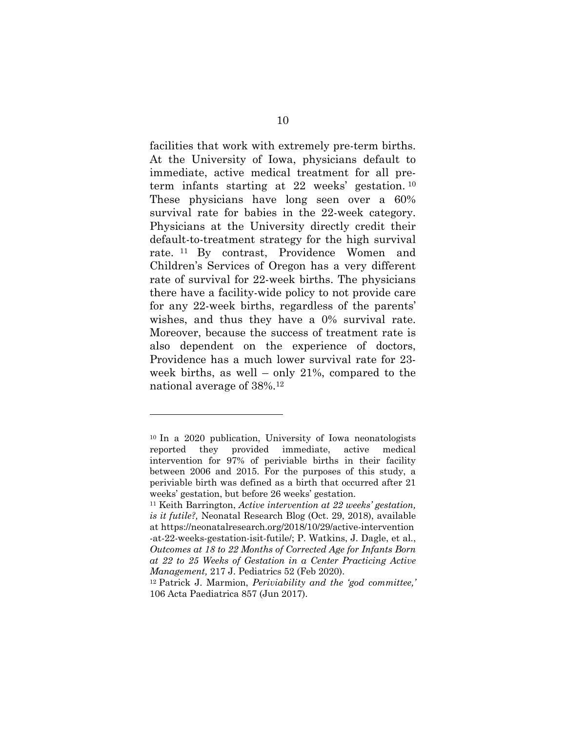facilities that work with extremely pre-term births. At the University of Iowa, physicians default to immediate, active medical treatment for all preterm infants starting at 22 weeks' gestation. <sup>10</sup> These physicians have long seen over a 60% survival rate for babies in the 22-week category. Physicians at the University directly credit their default-to-treatment strategy for the high survival rate. <sup>11</sup> By contrast, Providence Women and Children's Services of Oregon has a very different rate of survival for 22-week births. The physicians there have a facility-wide policy to not provide care for any 22-week births, regardless of the parents' wishes, and thus they have a 0% survival rate. Moreover, because the success of treatment rate is also dependent on the experience of doctors, Providence has a much lower survival rate for 23 week births, as well – only 21%, compared to the national average of 38%.12

<sup>10</sup> In a 2020 publication, University of Iowa neonatologists reported they provided immediate, active medical intervention for 97% of periviable births in their facility between 2006 and 2015. For the purposes of this study, a periviable birth was defined as a birth that occurred after 21 weeks' gestation, but before 26 weeks' gestation.

<sup>11</sup> Keith Barrington, *Active intervention at 22 weeks' gestation, is it futile?,* Neonatal Research Blog (Oct. 29, 2018), available at https://neonatalresearch.org/2018/10/29/active-intervention -at-22-weeks-gestation-isit-futile/; P. Watkins, J. Dagle, et al., *Outcomes at 18 to 22 Months of Corrected Age for Infants Born at 22 to 25 Weeks of Gestation in a Center Practicing Active Management,* 217 J. Pediatrics 52 (Feb 2020).

<sup>12</sup> Patrick J. Marmion, *Periviability and the 'god committee,'* 106 Acta Paediatrica 857 (Jun 2017).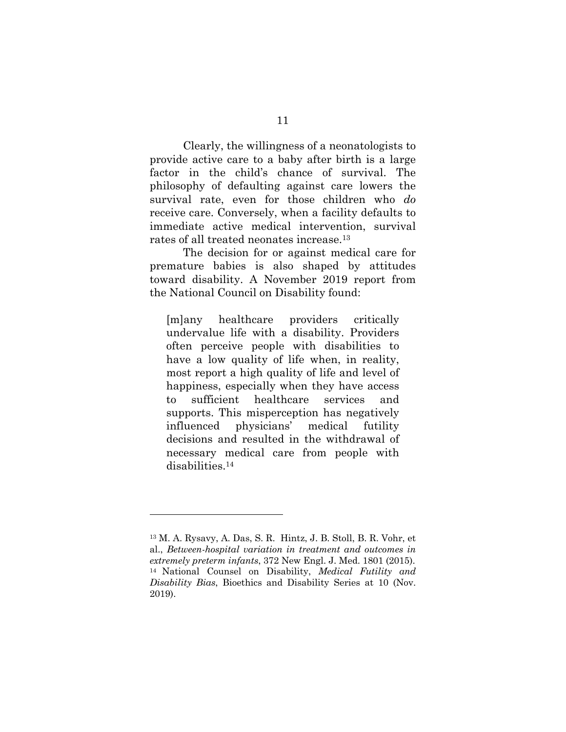Clearly, the willingness of a neonatologists to provide active care to a baby after birth is a large factor in the child's chance of survival. The philosophy of defaulting against care lowers the survival rate, even for those children who *do* receive care. Conversely, when a facility defaults to immediate active medical intervention, survival rates of all treated neonates increase.13

The decision for or against medical care for premature babies is also shaped by attitudes toward disability. A November 2019 report from the National Council on Disability found:

[m]any healthcare providers critically undervalue life with a disability. Providers often perceive people with disabilities to have a low quality of life when, in reality, most report a high quality of life and level of happiness, especially when they have access to sufficient healthcare services and supports. This misperception has negatively influenced physicians' medical futility decisions and resulted in the withdrawal of necessary medical care from people with disabilities.14

<sup>13</sup> M. A. Rysavy, A. Das, S. R. Hintz, J. B. Stoll, B. R. Vohr, et al., *Between-hospital variation in treatment and outcomes in extremely preterm infants*, 372 New Engl. J. Med. 1801 (2015). <sup>14</sup> National Counsel on Disability, *Medical Futility and Disability Bias*, Bioethics and Disability Series at 10 (Nov. 2019).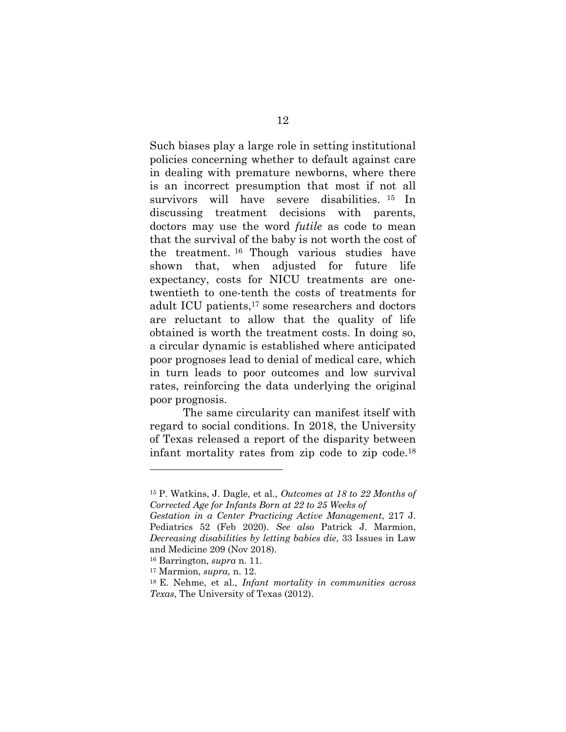Such biases play a large role in setting institutional policies concerning whether to default against care in dealing with premature newborns, where there is an incorrect presumption that most if not all survivors will have severe disabilities. <sup>15</sup> In discussing treatment decisions with parents, doctors may use the word *futile* as code to mean that the survival of the baby is not worth the cost of the treatment. <sup>16</sup> Though various studies have shown that, when adjusted for future life expectancy, costs for NICU treatments are onetwentieth to one-tenth the costs of treatments for adult ICU patients,17 some researchers and doctors are reluctant to allow that the quality of life obtained is worth the treatment costs. In doing so, a circular dynamic is established where anticipated poor prognoses lead to denial of medical care, which in turn leads to poor outcomes and low survival rates, reinforcing the data underlying the original poor prognosis.

The same circularity can manifest itself with regard to social conditions. In 2018, the University of Texas released a report of the disparity between infant mortality rates from zip code to zip code.18

<sup>15</sup> P. Watkins, J. Dagle, et al., *Outcomes at 18 to 22 Months of Corrected Age for Infants Born at 22 to 25 Weeks of*

*Gestation in a Center Practicing Active Management*, 217 J. Pediatrics 52 (Feb 2020). *See also* Patrick J. Marmion, *Decreasing disabilities by letting babies die*, 33 Issues in Law and Medicine 209 (Nov 2018).

<sup>16</sup> Barrington, *supra* n. 11.

<sup>17</sup> Marmion, *supra,* n. 12.

<sup>18</sup> E. Nehme, et al., *Infant mortality in communities across Texas*, The University of Texas (2012).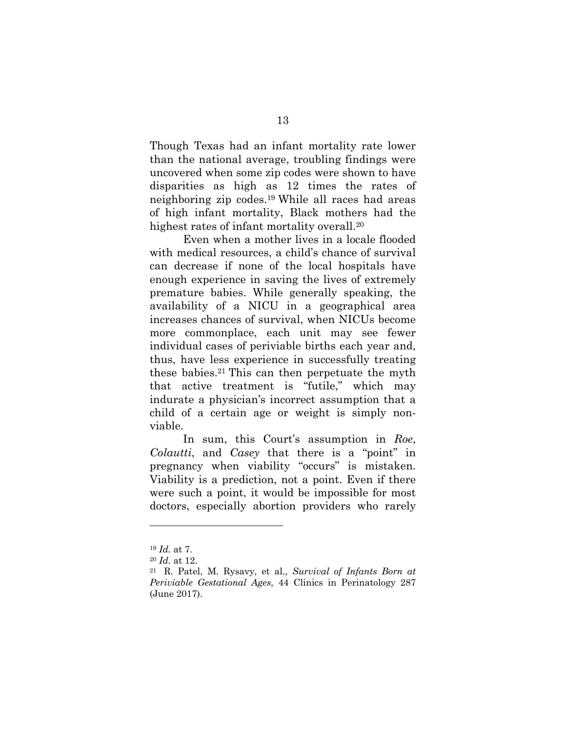Though Texas had an infant mortality rate lower than the national average, troubling findings were uncovered when some zip codes were shown to have disparities as high as 12 times the rates of neighboring zip codes.19 While all races had areas of high infant mortality, Black mothers had the highest rates of infant mortality overall.20

Even when a mother lives in a locale flooded with medical resources, a child's chance of survival can decrease if none of the local hospitals have enough experience in saving the lives of extremely premature babies. While generally speaking, the availability of a NICU in a geographical area increases chances of survival, when NICUs become more commonplace, each unit may see fewer individual cases of periviable births each year and, thus, have less experience in successfully treating these babies.21 This can then perpetuate the myth that active treatment is "futile," which may indurate a physician's incorrect assumption that a child of a certain age or weight is simply nonviable.

In sum, this Court's assumption in *Roe*, *Colautti*, and *Casey* that there is a "point" in pregnancy when viability "occurs" is mistaken. Viability is a prediction, not a point. Even if there were such a point, it would be impossible for most doctors, especially abortion providers who rarely

<sup>19</sup> *Id.* at 7.

<sup>20</sup> *Id.* at 12.

<sup>21</sup> R. Patel, M. Rysavy, et al., *Survival of Infants Born at Periviable Gestational Ages*, 44 Clinics in Perinatology 287 (June 2017).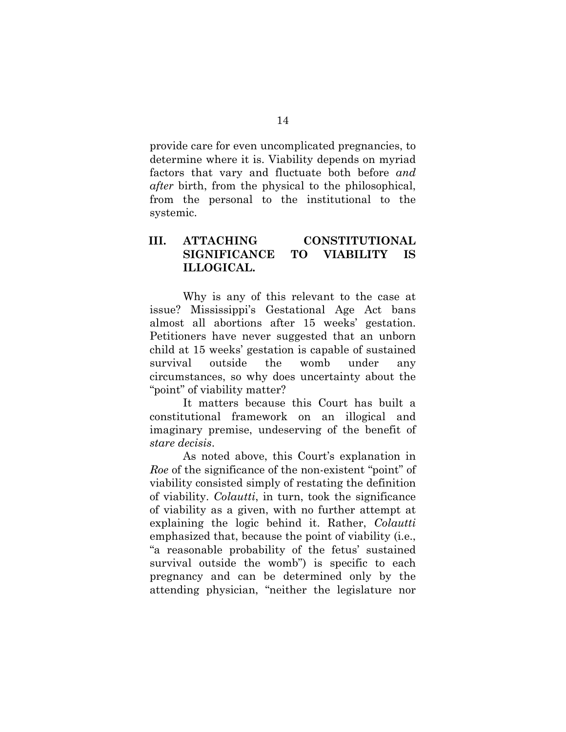provide care for even uncomplicated pregnancies, to determine where it is. Viability depends on myriad factors that vary and fluctuate both before *and after* birth, from the physical to the philosophical, from the personal to the institutional to the systemic.

### **III. ATTACHING CONSTITUTIONAL SIGNIFICANCE TO VIABILITY IS ILLOGICAL.**

Why is any of this relevant to the case at issue? Mississippi's Gestational Age Act bans almost all abortions after 15 weeks' gestation. Petitioners have never suggested that an unborn child at 15 weeks' gestation is capable of sustained survival outside the womb under any circumstances, so why does uncertainty about the "point" of viability matter?

It matters because this Court has built a constitutional framework on an illogical and imaginary premise, undeserving of the benefit of *stare decisis*.

As noted above, this Court's explanation in *Roe* of the significance of the non-existent "point" of viability consisted simply of restating the definition of viability. *Colautti*, in turn, took the significance of viability as a given, with no further attempt at explaining the logic behind it. Rather, *Colautti* emphasized that, because the point of viability (i.e., "a reasonable probability of the fetus' sustained survival outside the womb") is specific to each pregnancy and can be determined only by the attending physician, "neither the legislature nor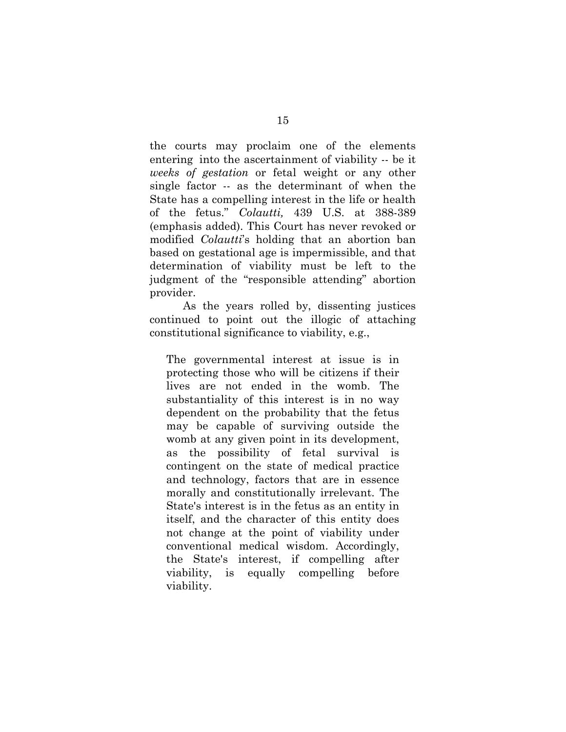the courts may proclaim one of the elements entering into the ascertainment of viability -- be it *weeks of gestation* or fetal weight or any other single factor -- as the determinant of when the State has a compelling interest in the life or health of the fetus." *Colautti,* 439 U.S. at 388-389 (emphasis added). This Court has never revoked or modified *Colautti*'s holding that an abortion ban based on gestational age is impermissible, and that determination of viability must be left to the judgment of the "responsible attending" abortion provider.

As the years rolled by, dissenting justices continued to point out the illogic of attaching constitutional significance to viability, e.g.,

The governmental interest at issue is in protecting those who will be citizens if their lives are not ended in the womb. The substantiality of this interest is in no way dependent on the probability that the fetus may be capable of surviving outside the womb at any given point in its development, as the possibility of fetal survival is contingent on the state of medical practice and technology, factors that are in essence morally and constitutionally irrelevant. The State's interest is in the fetus as an entity in itself, and the character of this entity does not change at the point of viability under conventional medical wisdom. Accordingly, the State's interest, if compelling after viability, is equally compelling before viability.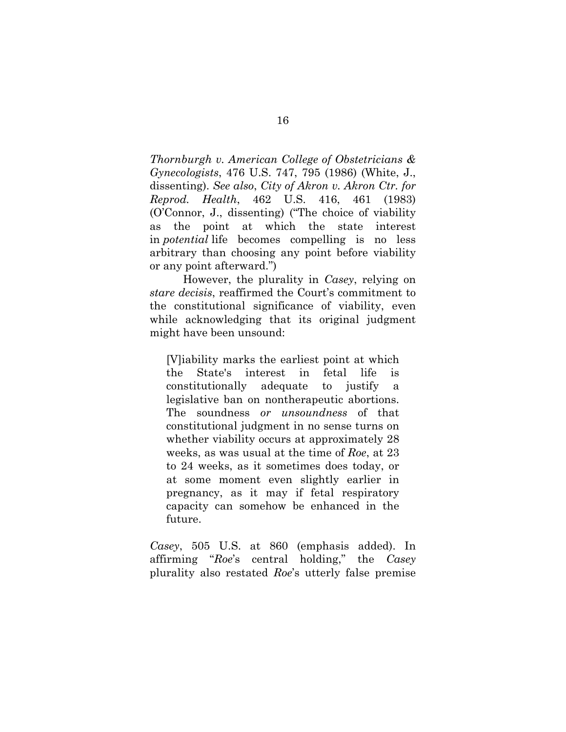*Thornburgh v. American College of Obstetricians & Gynecologists*, 476 U.S. 747, 795 (1986) (White, J., dissenting). *See also*, *City of Akron v. Akron Ctr. for Reprod. Health*, 462 U.S. 416, 461 (1983) (O'Connor, J., dissenting) ("The choice of viability as the point at which the state interest in *potential* life becomes compelling is no less arbitrary than choosing any point before viability or any point afterward.")

However, the plurality in *Casey*, relying on *stare decisis*, reaffirmed the Court's commitment to the constitutional significance of viability, even while acknowledging that its original judgment might have been unsound:

[V]iability marks the earliest point at which the State's interest in fetal life is constitutionally adequate to justify a legislative ban on nontherapeutic abortions. The soundness *or unsoundness* of that constitutional judgment in no sense turns on whether viability occurs at approximately 28 weeks, as was usual at the time of *Roe*, at 23 to 24 weeks, as it sometimes does today, or at some moment even slightly earlier in pregnancy, as it may if fetal respiratory capacity can somehow be enhanced in the future.

*Casey*, 505 U.S. at 860 (emphasis added). In affirming "*Roe*'s central holding," the *Casey* plurality also restated *Roe*'s utterly false premise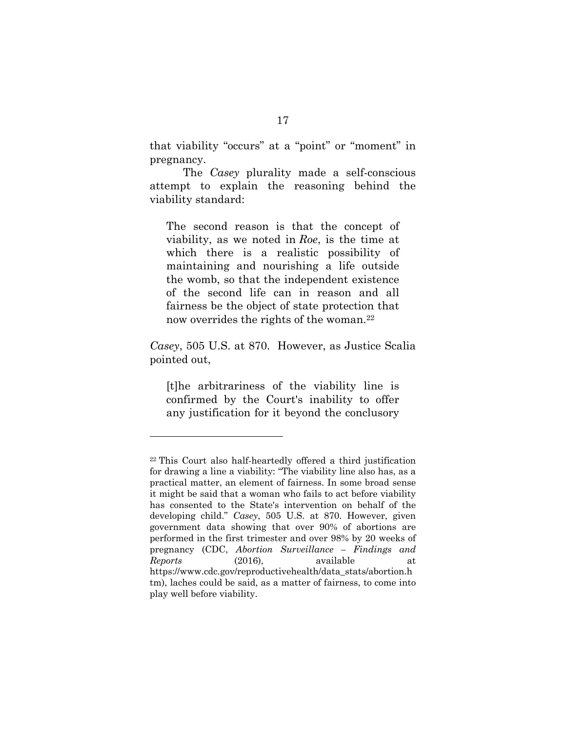that viability "occurs" at a "point" or "moment" in pregnancy.

The *Casey* plurality made a self-conscious attempt to explain the reasoning behind the viability standard:

The second reason is that the concept of viability, as we noted in *Roe*, is the time at which there is a realistic possibility of maintaining and nourishing a life outside the womb, so that the independent existence of the second life can in reason and all fairness be the object of state protection that now overrides the rights of the woman.<sup>22</sup>

*Casey*, 505 U.S. at 870. However, as Justice Scalia pointed out,

[t]he arbitrariness of the viability line is confirmed by the Court's inability to offer any justification for it beyond the conclusory

<sup>22</sup> This Court also half-heartedly offered a third justification for drawing a line a viability: "The viability line also has, as a practical matter, an element of fairness. In some broad sense it might be said that a woman who fails to act before viability has consented to the State's intervention on behalf of the developing child." *Casey*, 505 U.S. at 870. However, given government data showing that over 90% of abortions are performed in the first trimester and over 98% by 20 weeks of pregnancy (CDC, *Abortion Surveillance – Findings and Reports* (2016), available at https://www.cdc.gov/reproductivehealth/data\_stats/abortion.h tm), laches could be said, as a matter of fairness, to come into play well before viability.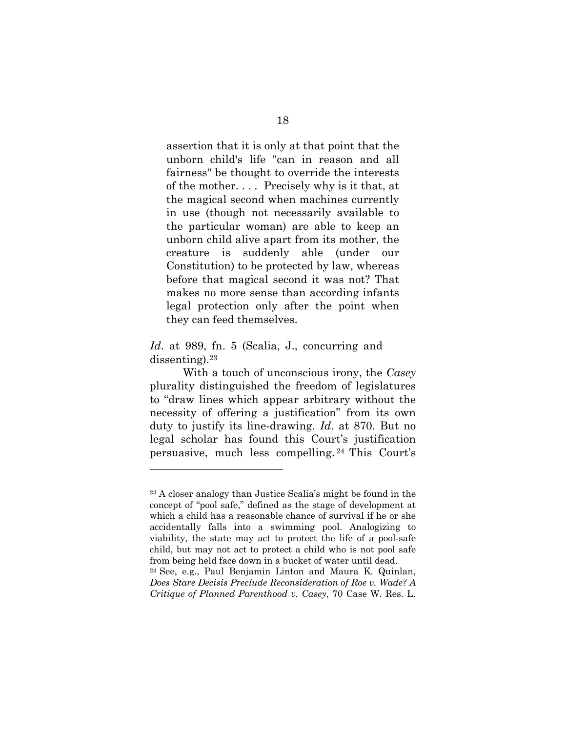assertion that it is only at that point that the unborn child's life "can in reason and all fairness" be thought to override the interests of the mother. . . . Precisely why is it that, at the magical second when machines currently in use (though not necessarily available to the particular woman) are able to keep an unborn child alive apart from its mother, the creature is suddenly able (under our Constitution) to be protected by law, whereas before that magical second it was not? That makes no more sense than according infants legal protection only after the point when they can feed themselves.

#### *Id*. at 989, fn. 5 (Scalia, J., concurring and dissenting).23

With a touch of unconscious irony, the *Casey* plurality distinguished the freedom of legislatures to "draw lines which appear arbitrary without the necessity of offering a justification" from its own duty to justify its line-drawing. *Id*. at 870. But no legal scholar has found this Court's justification persuasive, much less compelling. <sup>24</sup> This Court's

<sup>23</sup> A closer analogy than Justice Scalia's might be found in the concept of "pool safe," defined as the stage of development at which a child has a reasonable chance of survival if he or she accidentally falls into a swimming pool. Analogizing to viability, the state may act to protect the life of a pool-safe child, but may not act to protect a child who is not pool safe

from being held face down in a bucket of water until dead. 24 See, e.g., Paul Benjamin Linton and Maura K. Quinlan, *Does Stare Decisis Preclude Reconsideration of Roe v. Wade? A Critique of Planned Parenthood v. Casey*, 70 Case W. Res. L.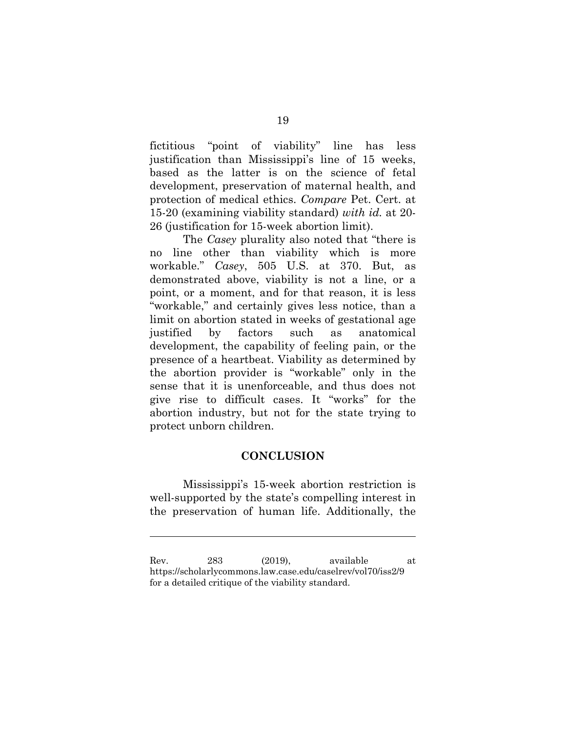fictitious "point of viability" line has less justification than Mississippi's line of 15 weeks, based as the latter is on the science of fetal development, preservation of maternal health, and protection of medical ethics. *Compare* Pet. Cert. at 15-20 (examining viability standard) *with id.* at 20- 26 (justification for 15-week abortion limit).

The *Casey* plurality also noted that "there is no line other than viability which is more workable." *Casey*, 505 U.S. at 370. But, as demonstrated above, viability is not a line, or a point, or a moment, and for that reason, it is less "workable," and certainly gives less notice, than a limit on abortion stated in weeks of gestational age justified by factors such as anatomical development, the capability of feeling pain, or the presence of a heartbeat. Viability as determined by the abortion provider is "workable" only in the sense that it is unenforceable, and thus does not give rise to difficult cases. It "works" for the abortion industry, but not for the state trying to protect unborn children.

### **CONCLUSION**

Mississippi's 15-week abortion restriction is well-supported by the state's compelling interest in the preservation of human life. Additionally, the

Rev. 283 (2019), available at https://scholarlycommons.law.case.edu/caselrev/vol70/iss2/9 for a detailed critique of the viability standard.